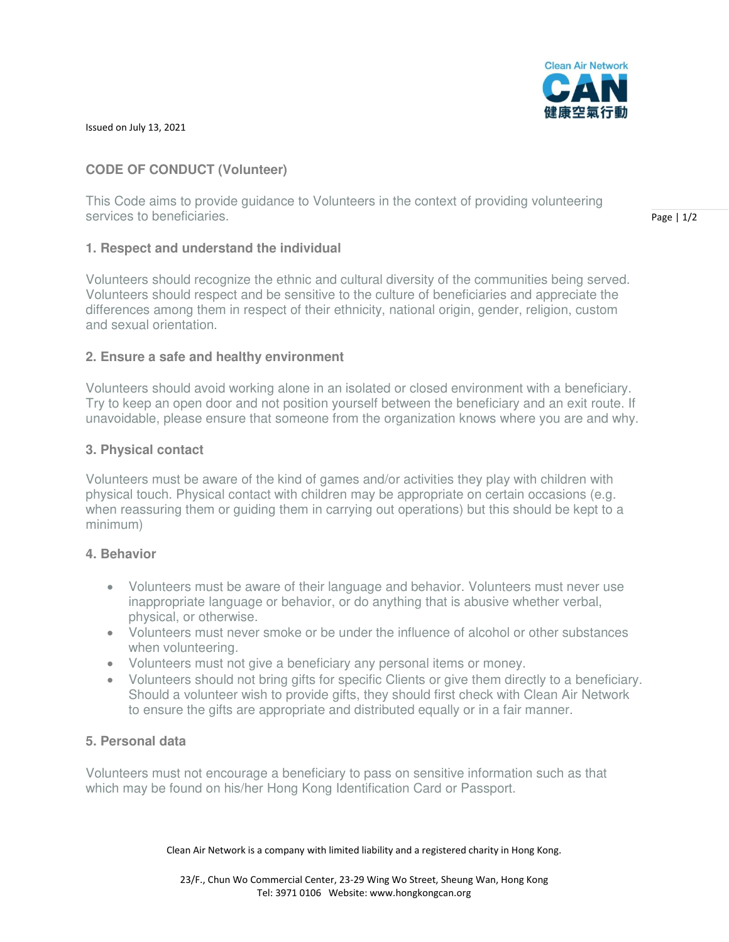

Issued on July 13, 2021

# **CODE OF CONDUCT (Volunteer)**

This Code aims to provide guidance to Volunteers in the context of providing volunteering services to beneficiaries.

# **1. Respect and understand the individual**

Volunteers should recognize the ethnic and cultural diversity of the communities being served. Volunteers should respect and be sensitive to the culture of beneficiaries and appreciate the differences among them in respect of their ethnicity, national origin, gender, religion, custom and sexual orientation.

# **2. Ensure a safe and healthy environment**

Volunteers should avoid working alone in an isolated or closed environment with a beneficiary. Try to keep an open door and not position yourself between the beneficiary and an exit route. If unavoidable, please ensure that someone from the organization knows where you are and why.

# **3. Physical contact**

Volunteers must be aware of the kind of games and/or activities they play with children with physical touch. Physical contact with children may be appropriate on certain occasions (e.g. when reassuring them or guiding them in carrying out operations) but this should be kept to a minimum)

### **4. Behavior**

- Volunteers must be aware of their language and behavior. Volunteers must never use inappropriate language or behavior, or do anything that is abusive whether verbal, physical, or otherwise.
- Volunteers must never smoke or be under the influence of alcohol or other substances when volunteering.
- Volunteers must not give a beneficiary any personal items or money.
- Volunteers should not bring gifts for specific Clients or give them directly to a beneficiary. Should a volunteer wish to provide gifts, they should first check with Clean Air Network to ensure the gifts are appropriate and distributed equally or in a fair manner.

# **5. Personal data**

Volunteers must not encourage a beneficiary to pass on sensitive information such as that which may be found on his/her Hong Kong Identification Card or Passport.

Clean Air Network is a company with limited liability and a registered charity in Hong Kong.

Page | 1/2